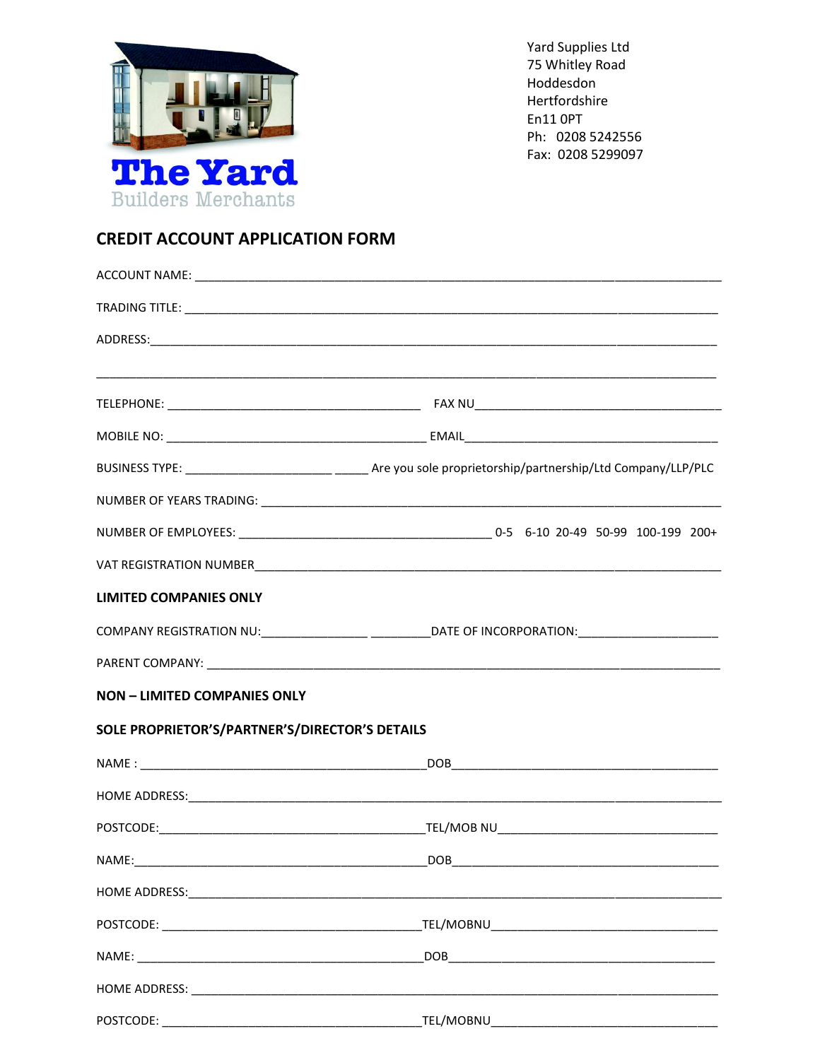

Yard Supplies Ltd 75 Whitley Road Hoddesdon Hertfordshire En11 OPT Ph: 0208 5242556 Fax: 0208 5299097

## **CREDIT ACCOUNT APPLICATION FORM**

| <b>LIMITED COMPANIES ONLY</b>                  |            |
|------------------------------------------------|------------|
|                                                |            |
|                                                |            |
| <b>NON - LIMITED COMPANIES ONLY</b>            |            |
| SOLE PROPRIETOR'S/PARTNER'S/DIRECTOR'S DETAILS |            |
|                                                |            |
|                                                |            |
|                                                |            |
|                                                | <b>DOB</b> |
|                                                |            |
|                                                |            |
|                                                |            |
|                                                |            |
|                                                |            |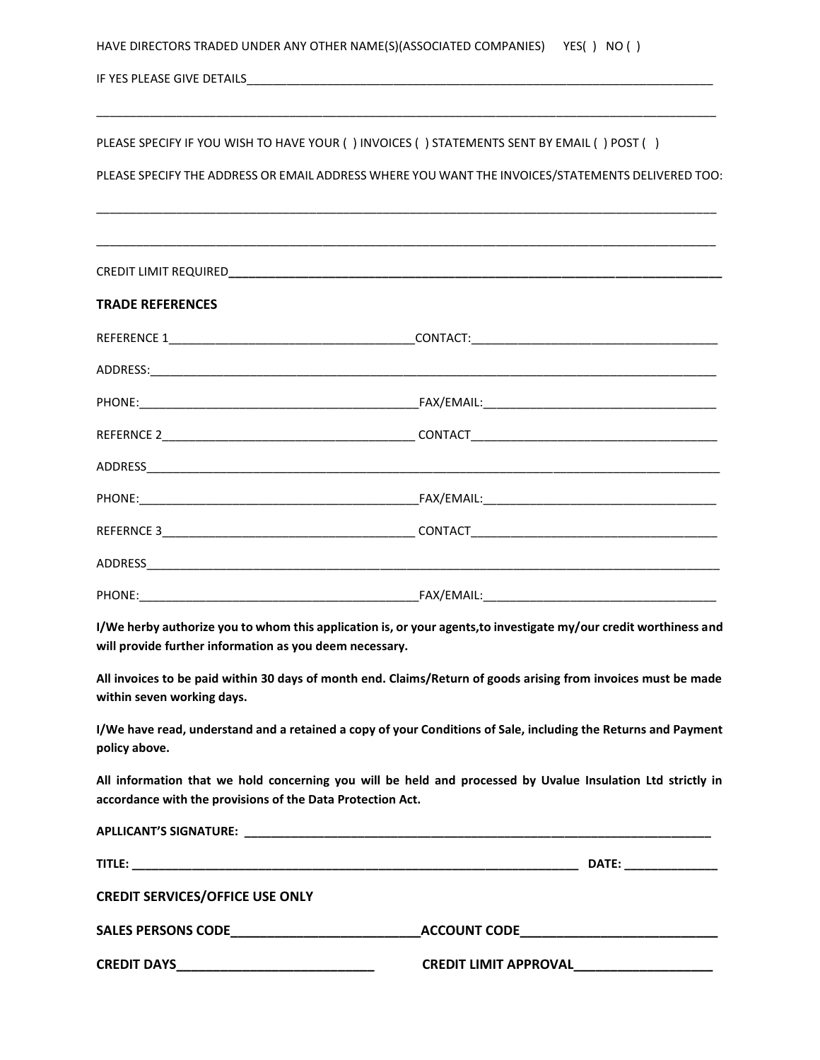IF YES PLEASE GIVE DETAILS\_\_\_\_\_\_\_\_\_\_\_\_\_\_\_\_\_\_\_\_\_\_\_\_\_\_\_\_\_\_\_\_\_\_\_\_\_\_\_\_\_\_\_\_\_\_\_\_\_\_\_\_\_\_\_\_\_\_\_\_\_\_\_\_\_\_\_\_\_\_

PLEASE SPECIFY IF YOU WISH TO HAVE YOUR ( ) INVOICES ( ) STATEMENTS SENT BY EMAIL ( ) POST ( )

PLEASE SPECIFY THE ADDRESS OR EMAIL ADDRESS WHERE YOU WANT THE INVOICES/STATEMENTS DELIVERED TOO:

\_\_\_\_\_\_\_\_\_\_\_\_\_\_\_\_\_\_\_\_\_\_\_\_\_\_\_\_\_\_\_\_\_\_\_\_\_\_\_\_\_\_\_\_\_\_\_\_\_\_\_\_\_\_\_\_\_\_\_\_\_\_\_\_\_\_\_\_\_\_\_\_\_\_\_\_\_\_\_\_\_\_\_\_\_\_\_\_\_\_\_\_\_

\_\_\_\_\_\_\_\_\_\_\_\_\_\_\_\_\_\_\_\_\_\_\_\_\_\_\_\_\_\_\_\_\_\_\_\_\_\_\_\_\_\_\_\_\_\_\_\_\_\_\_\_\_\_\_\_\_\_\_\_\_\_\_\_\_\_\_\_\_\_\_\_\_\_\_\_\_\_\_\_\_\_\_\_\_\_\_\_\_\_\_\_\_

| <b>TRADE REFERENCES</b> |  |
|-------------------------|--|
|                         |  |
|                         |  |
|                         |  |
|                         |  |
|                         |  |
|                         |  |
|                         |  |
|                         |  |
|                         |  |

**I/We herby authorize you to whom this application is, or your agents,to investigate my/our credit worthiness and will provide further information as you deem necessary.**

**All invoices to be paid within 30 days of month end. Claims/Return of goods arising from invoices must be made within seven working days.**

**I/We have read, understand and a retained a copy of your Conditions of Sale, including the Returns and Payment policy above.**

**All information that we hold concerning you will be held and processed by Uvalue Insulation Ltd strictly in accordance with the provisions of the Data Protection Act.**

| <b>APLLICANT'S SIGNATURE:</b>                                                                                                         |                                                                                                                                                                                                                                |
|---------------------------------------------------------------------------------------------------------------------------------------|--------------------------------------------------------------------------------------------------------------------------------------------------------------------------------------------------------------------------------|
| <b>TITLE:</b><br><u> 1989 - Jan James James James James James James James James James James James James James James James James J</u> | DATE: the contract of the contract of the contract of the contract of the contract of the contract of the contract of the contract of the contract of the contract of the contract of the contract of the contract of the cont |
| <b>CREDIT SERVICES/OFFICE USE ONLY</b>                                                                                                |                                                                                                                                                                                                                                |
|                                                                                                                                       | <b>ACCOUNT CODE</b>                                                                                                                                                                                                            |
| <b>CREDIT DAYS</b>                                                                                                                    | <b>CREDIT LIMIT APPROVAL</b>                                                                                                                                                                                                   |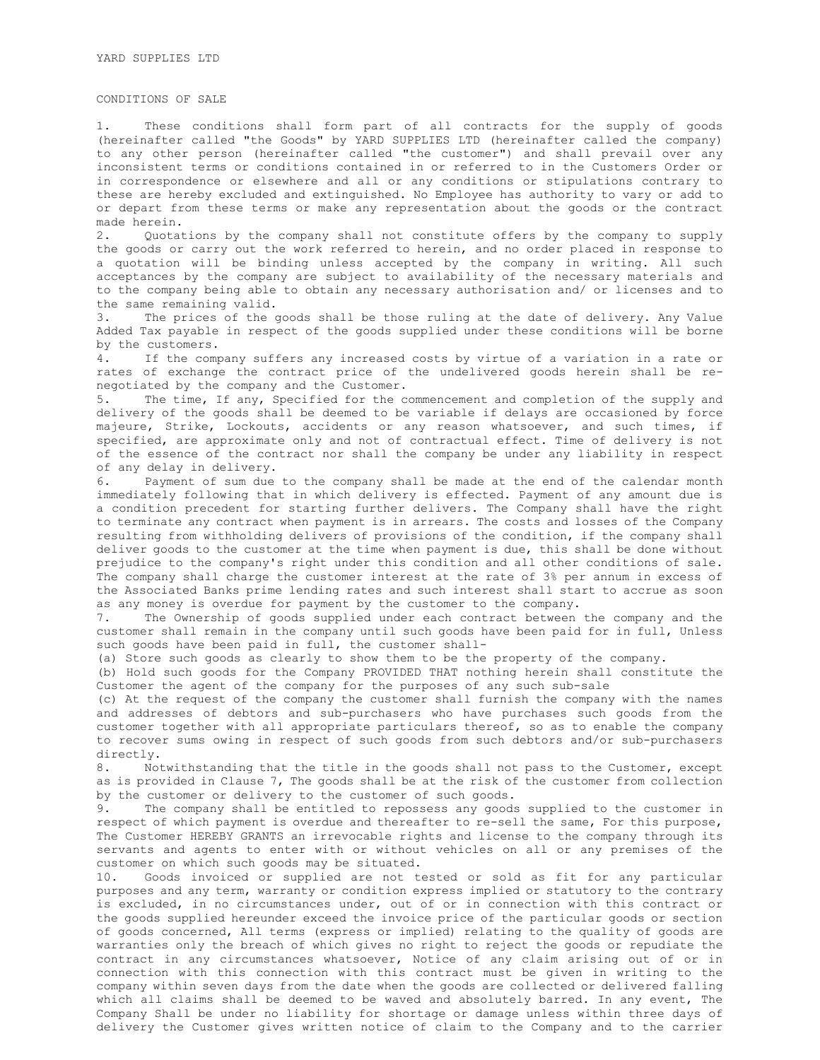## CONDITIONS OF SALE

1. These conditions shall form part of all contracts for the supply of goods (hereinafter called "the Goods" by YARD SUPPLIES LTD (hereinafter called the company) to any other person (hereinafter called "the customer") and shall prevail over any inconsistent terms or conditions contained in or referred to in the Customers Order or in correspondence or elsewhere and all or any conditions or stipulations contrary to these are hereby excluded and extinguished. No Employee has authority to vary or add to or depart from these terms or make any representation about the goods or the contract made herein.

2. Quotations by the company shall not constitute offers by the company to supply the goods or carry out the work referred to herein, and no order placed in response to a quotation will be binding unless accepted by the company in writing. All such acceptances by the company are subject to availability of the necessary materials and to the company being able to obtain any necessary authorisation and/ or licenses and to the same remaining valid.

3. The prices of the goods shall be those ruling at the date of delivery. Any Value Added Tax payable in respect of the goods supplied under these conditions will be borne by the customers.

4. If the company suffers any increased costs by virtue of a variation in a rate or rates of exchange the contract price of the undelivered goods herein shall be renegotiated by the company and the Customer.

5. The time, If any, Specified for the commencement and completion of the supply and delivery of the goods shall be deemed to be variable if delays are occasioned by force majeure, Strike, Lockouts, accidents or any reason whatsoever, and such times, if specified, are approximate only and not of contractual effect. Time of delivery is not of the essence of the contract nor shall the company be under any liability in respect of any delay in delivery.

6. Payment of sum due to the company shall be made at the end of the calendar month immediately following that in which delivery is effected. Payment of any amount due is a condition precedent for starting further delivers. The Company shall have the right to terminate any contract when payment is in arrears. The costs and losses of the Company resulting from withholding delivers of provisions of the condition, if the company shall deliver goods to the customer at the time when payment is due, this shall be done without prejudice to the company's right under this condition and all other conditions of sale. The company shall charge the customer interest at the rate of 3% per annum in excess of the Associated Banks prime lending rates and such interest shall start to accrue as soon as any money is overdue for payment by the customer to the company.

7. The Ownership of goods supplied under each contract between the company and the customer shall remain in the company until such goods have been paid for in full, Unless such goods have been paid in full, the customer shall-

(a) Store such goods as clearly to show them to be the property of the company.

(b) Hold such goods for the Company PROVIDED THAT nothing herein shall constitute the Customer the agent of the company for the purposes of any such sub-sale

(c) At the request of the company the customer shall furnish the company with the names and addresses of debtors and sub-purchasers who have purchases such goods from the customer together with all appropriate particulars thereof, so as to enable the company to recover sums owing in respect of such goods from such debtors and/or sub-purchasers directly.

8. Notwithstanding that the title in the goods shall not pass to the Customer, except as is provided in Clause 7, The goods shall be at the risk of the customer from collection by the customer or delivery to the customer of such goods.

9. The company shall be entitled to repossess any goods supplied to the customer in respect of which payment is overdue and thereafter to re-sell the same, For this purpose, The Customer HEREBY GRANTS an irrevocable rights and license to the company through its servants and agents to enter with or without vehicles on all or any premises of the customer on which such goods may be situated.

10. Goods invoiced or supplied are not tested or sold as fit for any particular purposes and any term, warranty or condition express implied or statutory to the contrary is excluded, in no circumstances under, out of or in connection with this contract or the goods supplied hereunder exceed the invoice price of the particular goods or section of goods concerned, All terms (express or implied) relating to the quality of goods are warranties only the breach of which gives no right to reject the goods or repudiate the contract in any circumstances whatsoever, Notice of any claim arising out of or in connection with this connection with this contract must be given in writing to the company within seven days from the date when the goods are collected or delivered falling which all claims shall be deemed to be waved and absolutely barred. In any event, The Company Shall be under no liability for shortage or damage unless within three days of delivery the Customer gives written notice of claim to the Company and to the carrier